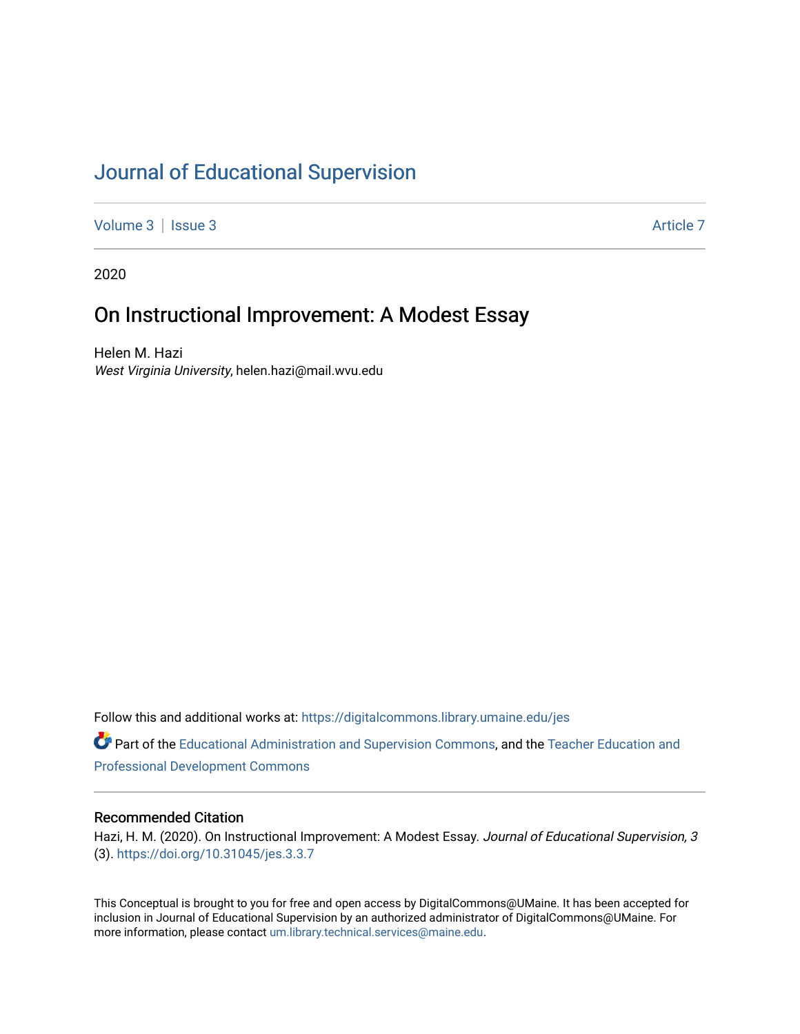# [Journal of Educational Supervision](https://digitalcommons.library.umaine.edu/jes)

[Volume 3](https://digitalcommons.library.umaine.edu/jes/vol3) | [Issue 3](https://digitalcommons.library.umaine.edu/jes/vol3/iss3) Article 7

2020

# On Instructional Improvement: A Modest Essay

Helen M. Hazi West Virginia University, helen.hazi@mail.wvu.edu

Follow this and additional works at: [https://digitalcommons.library.umaine.edu/jes](https://digitalcommons.library.umaine.edu/jes?utm_source=digitalcommons.library.umaine.edu%2Fjes%2Fvol3%2Fiss3%2F7&utm_medium=PDF&utm_campaign=PDFCoverPages)

Part of the [Educational Administration and Supervision Commons](http://network.bepress.com/hgg/discipline/787?utm_source=digitalcommons.library.umaine.edu%2Fjes%2Fvol3%2Fiss3%2F7&utm_medium=PDF&utm_campaign=PDFCoverPages), and the [Teacher Education and](http://network.bepress.com/hgg/discipline/803?utm_source=digitalcommons.library.umaine.edu%2Fjes%2Fvol3%2Fiss3%2F7&utm_medium=PDF&utm_campaign=PDFCoverPages)  [Professional Development Commons](http://network.bepress.com/hgg/discipline/803?utm_source=digitalcommons.library.umaine.edu%2Fjes%2Fvol3%2Fiss3%2F7&utm_medium=PDF&utm_campaign=PDFCoverPages)

#### Recommended Citation

Hazi, H. M. (2020). On Instructional Improvement: A Modest Essay. Journal of Educational Supervision, 3 (3). <https://doi.org/10.31045/jes.3.3.7>

This Conceptual is brought to you for free and open access by DigitalCommons@UMaine. It has been accepted for inclusion in Journal of Educational Supervision by an authorized administrator of DigitalCommons@UMaine. For more information, please contact [um.library.technical.services@maine.edu](mailto:um.library.technical.services@maine.edu).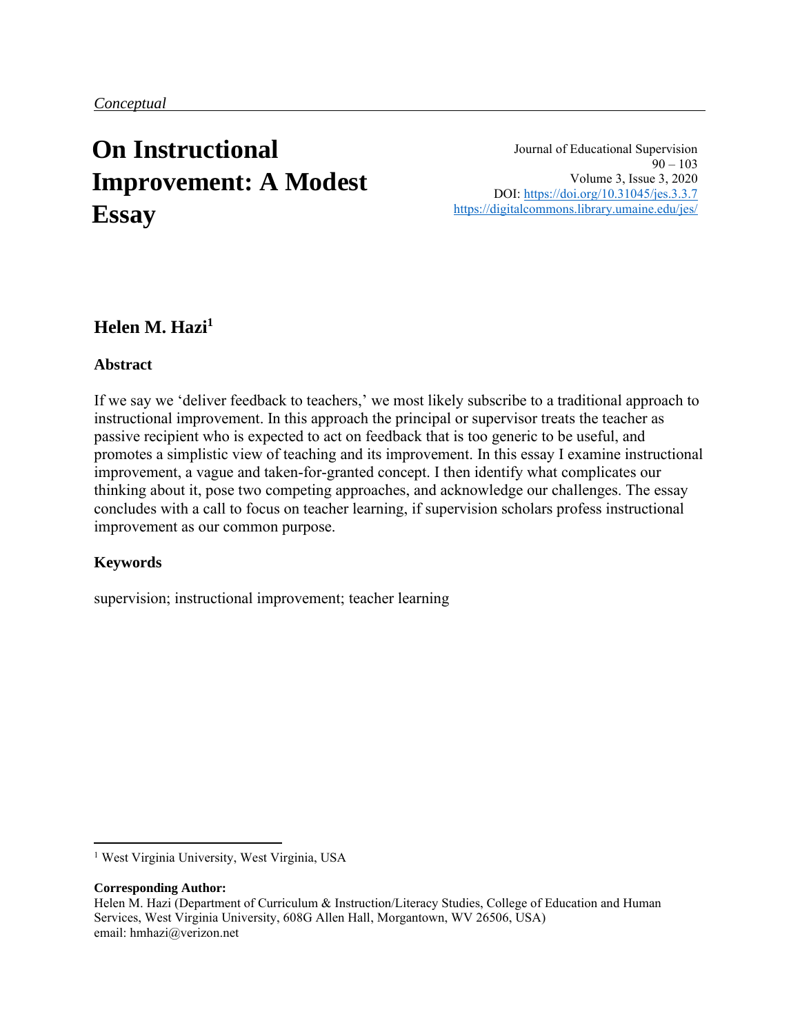# **On Instructional Improvement: A Modest Essay**

Journal of Educational Supervision  $90 - 103$ Volume 3, Issue 3, 2020 DOI:<https://doi.org/10.31045/jes.3.3.7> <https://digitalcommons.library.umaine.edu/jes/>

## **Helen M. Hazi<sup>1</sup>**

#### **Abstract**

If we say we 'deliver feedback to teachers,' we most likely subscribe to a traditional approach to instructional improvement. In this approach the principal or supervisor treats the teacher as passive recipient who is expected to act on feedback that is too generic to be useful, and promotes a simplistic view of teaching and its improvement. In this essay I examine instructional improvement, a vague and taken-for-granted concept. I then identify what complicates our thinking about it, pose two competing approaches, and acknowledge our challenges. The essay concludes with a call to focus on teacher learning, if supervision scholars profess instructional improvement as our common purpose.

#### **Keywords**

supervision; instructional improvement; teacher learning

#### **Corresponding Author:**

<sup>&</sup>lt;sup>1</sup> West Virginia University, West Virginia, USA

Helen M. Hazi (Department of Curriculum & Instruction/Literacy Studies, College of Education and Human Services, West Virginia University, 608G Allen Hall, Morgantown, WV 26506, USA) email: hmhazi@verizon.net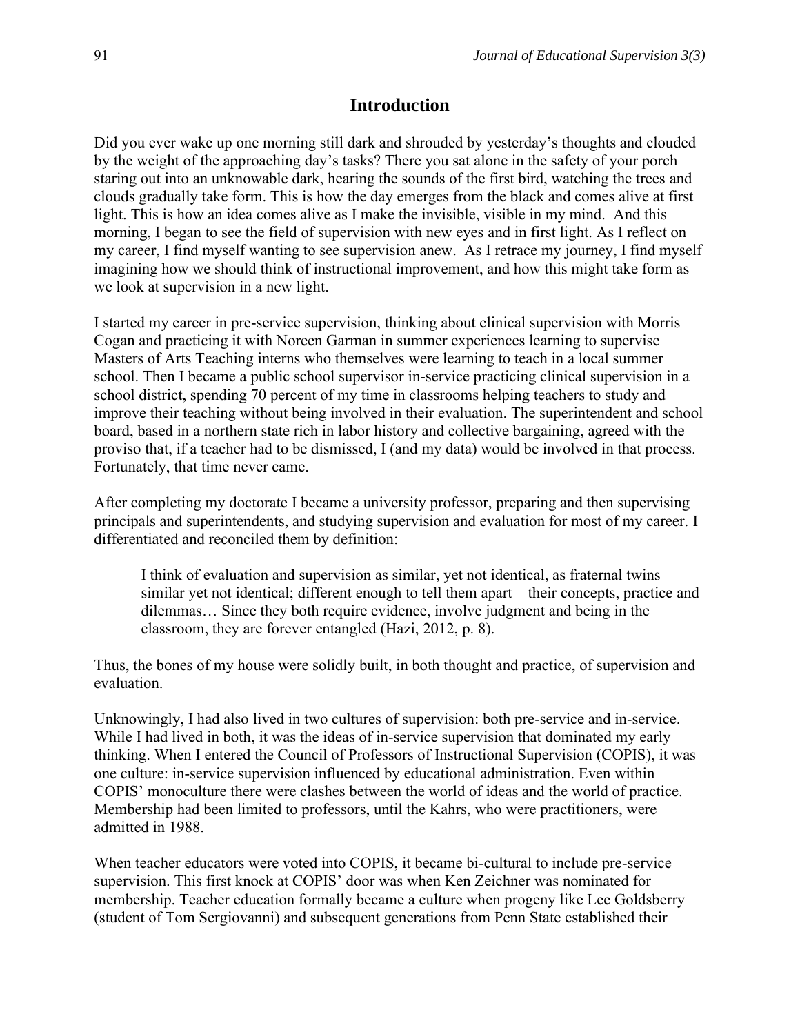#### **Introduction**

Did you ever wake up one morning still dark and shrouded by yesterday's thoughts and clouded by the weight of the approaching day's tasks? There you sat alone in the safety of your porch staring out into an unknowable dark, hearing the sounds of the first bird, watching the trees and clouds gradually take form. This is how the day emerges from the black and comes alive at first light. This is how an idea comes alive as I make the invisible, visible in my mind. And this morning, I began to see the field of supervision with new eyes and in first light. As I reflect on my career, I find myself wanting to see supervision anew. As I retrace my journey, I find myself imagining how we should think of instructional improvement, and how this might take form as we look at supervision in a new light.

I started my career in pre-service supervision, thinking about clinical supervision with Morris Cogan and practicing it with Noreen Garman in summer experiences learning to supervise Masters of Arts Teaching interns who themselves were learning to teach in a local summer school. Then I became a public school supervisor in-service practicing clinical supervision in a school district, spending 70 percent of my time in classrooms helping teachers to study and improve their teaching without being involved in their evaluation. The superintendent and school board, based in a northern state rich in labor history and collective bargaining, agreed with the proviso that, if a teacher had to be dismissed, I (and my data) would be involved in that process. Fortunately, that time never came.

After completing my doctorate I became a university professor, preparing and then supervising principals and superintendents, and studying supervision and evaluation for most of my career. I differentiated and reconciled them by definition:

I think of evaluation and supervision as similar, yet not identical, as fraternal twins – similar yet not identical; different enough to tell them apart – their concepts, practice and dilemmas… Since they both require evidence, involve judgment and being in the classroom, they are forever entangled (Hazi, 2012, p. 8).

Thus, the bones of my house were solidly built, in both thought and practice, of supervision and evaluation.

Unknowingly, I had also lived in two cultures of supervision: both pre-service and in-service. While I had lived in both, it was the ideas of in-service supervision that dominated my early thinking. When I entered the Council of Professors of Instructional Supervision (COPIS), it was one culture: in-service supervision influenced by educational administration. Even within COPIS' monoculture there were clashes between the world of ideas and the world of practice. Membership had been limited to professors, until the Kahrs, who were practitioners, were admitted in 1988.

When teacher educators were voted into COPIS, it became bi-cultural to include pre-service supervision. This first knock at COPIS' door was when Ken Zeichner was nominated for membership. Teacher education formally became a culture when progeny like Lee Goldsberry (student of Tom Sergiovanni) and subsequent generations from Penn State established their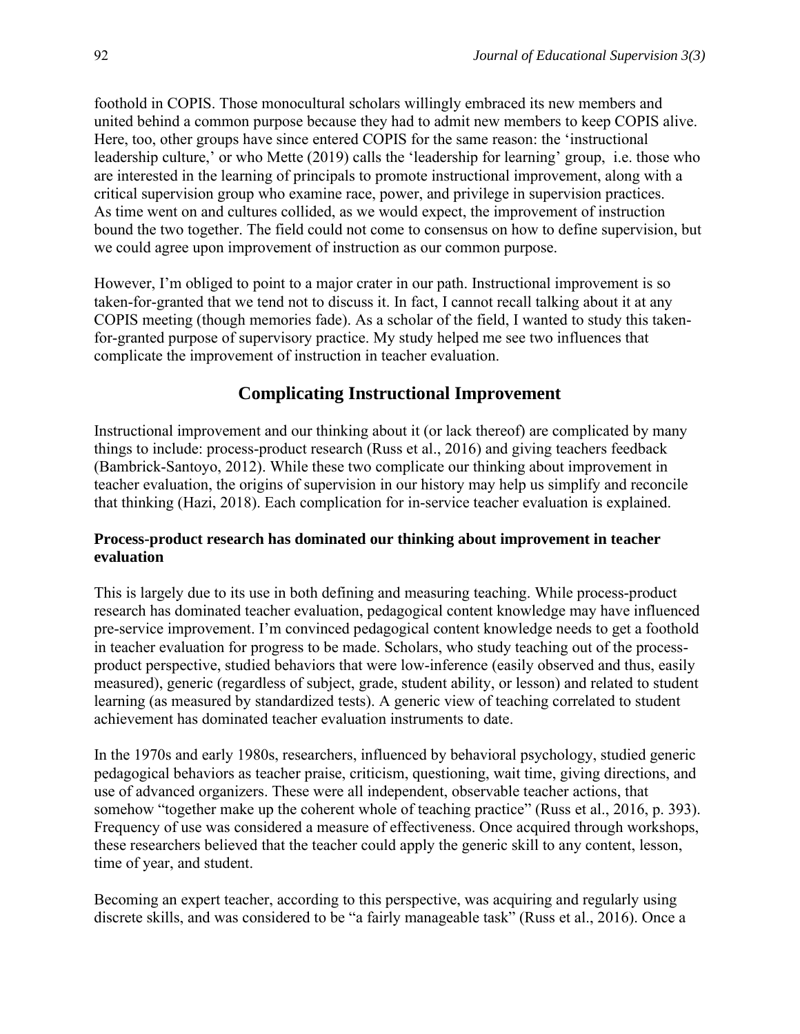foothold in COPIS. Those monocultural scholars willingly embraced its new members and united behind a common purpose because they had to admit new members to keep COPIS alive. Here, too, other groups have since entered COPIS for the same reason: the 'instructional leadership culture,' or who Mette (2019) calls the 'leadership for learning' group, i.e. those who are interested in the learning of principals to promote instructional improvement, along with a critical supervision group who examine race, power, and privilege in supervision practices. As time went on and cultures collided, as we would expect, the improvement of instruction bound the two together. The field could not come to consensus on how to define supervision, but we could agree upon improvement of instruction as our common purpose.

However, I'm obliged to point to a major crater in our path. Instructional improvement is so taken-for-granted that we tend not to discuss it. In fact, I cannot recall talking about it at any COPIS meeting (though memories fade). As a scholar of the field, I wanted to study this takenfor-granted purpose of supervisory practice. My study helped me see two influences that complicate the improvement of instruction in teacher evaluation.

# **Complicating Instructional Improvement**

Instructional improvement and our thinking about it (or lack thereof) are complicated by many things to include: process-product research (Russ et al., 2016) and giving teachers feedback (Bambrick-Santoyo, 2012). While these two complicate our thinking about improvement in teacher evaluation, the origins of supervision in our history may help us simplify and reconcile that thinking (Hazi, 2018). Each complication for in-service teacher evaluation is explained.

#### **Process-product research has dominated our thinking about improvement in teacher evaluation**

This is largely due to its use in both defining and measuring teaching. While process-product research has dominated teacher evaluation, pedagogical content knowledge may have influenced pre-service improvement. I'm convinced pedagogical content knowledge needs to get a foothold in teacher evaluation for progress to be made. Scholars, who study teaching out of the processproduct perspective, studied behaviors that were low-inference (easily observed and thus, easily measured), generic (regardless of subject, grade, student ability, or lesson) and related to student learning (as measured by standardized tests). A generic view of teaching correlated to student achievement has dominated teacher evaluation instruments to date.

In the 1970s and early 1980s, researchers, influenced by behavioral psychology, studied generic pedagogical behaviors as teacher praise, criticism, questioning, wait time, giving directions, and use of advanced organizers. These were all independent, observable teacher actions, that somehow "together make up the coherent whole of teaching practice" (Russ et al., 2016, p. 393). Frequency of use was considered a measure of effectiveness. Once acquired through workshops, these researchers believed that the teacher could apply the generic skill to any content, lesson, time of year, and student.

Becoming an expert teacher, according to this perspective, was acquiring and regularly using discrete skills, and was considered to be "a fairly manageable task" (Russ et al., 2016). Once a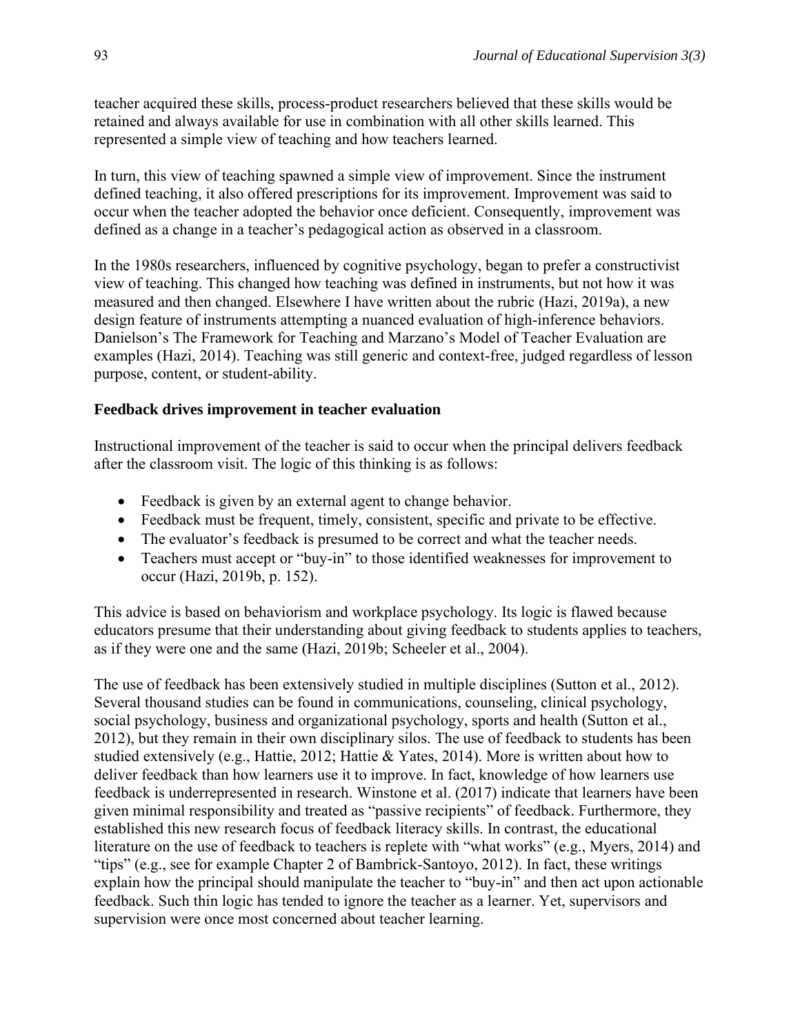teacher acquired these skills, process-product researchers believed that these skills would be retained and always available for use in combination with all other skills learned. This represented a simple view of teaching and how teachers learned.

In turn, this view of teaching spawned a simple view of improvement. Since the instrument defined teaching, it also offered prescriptions for its improvement. Improvement was said to occur when the teacher adopted the behavior once deficient. Consequently, improvement was defined as a change in a teacher's pedagogical action as observed in a classroom.

In the 1980s researchers, influenced by cognitive psychology, began to prefer a constructivist view of teaching. This changed how teaching was defined in instruments, but not how it was measured and then changed. Elsewhere I have written about the rubric (Hazi, 2019a), a new design feature of instruments attempting a nuanced evaluation of high-inference behaviors. Danielson's The Framework for Teaching and Marzano's Model of Teacher Evaluation are examples (Hazi, 2014). Teaching was still generic and context-free, judged regardless of lesson purpose, content, or student-ability.

#### **Feedback drives improvement in teacher evaluation**

Instructional improvement of the teacher is said to occur when the principal delivers feedback after the classroom visit. The logic of this thinking is as follows:

- Feedback is given by an external agent to change behavior.
- Feedback must be frequent, timely, consistent, specific and private to be effective.
- The evaluator's feedback is presumed to be correct and what the teacher needs.
- Teachers must accept or "buy-in" to those identified weaknesses for improvement to occur (Hazi, 2019b, p. 152).

This advice is based on behaviorism and workplace psychology. Its logic is flawed because educators presume that their understanding about giving feedback to students applies to teachers, as if they were one and the same (Hazi, 2019b; Scheeler et al., 2004).

The use of feedback has been extensively studied in multiple disciplines (Sutton et al., 2012). Several thousand studies can be found in communications, counseling, clinical psychology, social psychology, business and organizational psychology, sports and health (Sutton et al., 2012), but they remain in their own disciplinary silos. The use of feedback to students has been studied extensively (e.g., Hattie, 2012; Hattie & Yates, 2014). More is written about how to deliver feedback than how learners use it to improve. In fact, knowledge of how learners use feedback is underrepresented in research. Winstone et al. (2017) indicate that learners have been given minimal responsibility and treated as "passive recipients" of feedback. Furthermore, they established this new research focus of feedback literacy skills. In contrast, the educational literature on the use of feedback to teachers is replete with "what works" (e.g., Myers, 2014) and "tips" (e.g., see for example Chapter 2 of Bambrick-Santoyo, 2012). In fact, these writings explain how the principal should manipulate the teacher to "buy-in" and then act upon actionable feedback. Such thin logic has tended to ignore the teacher as a learner. Yet, supervisors and supervision were once most concerned about teacher learning.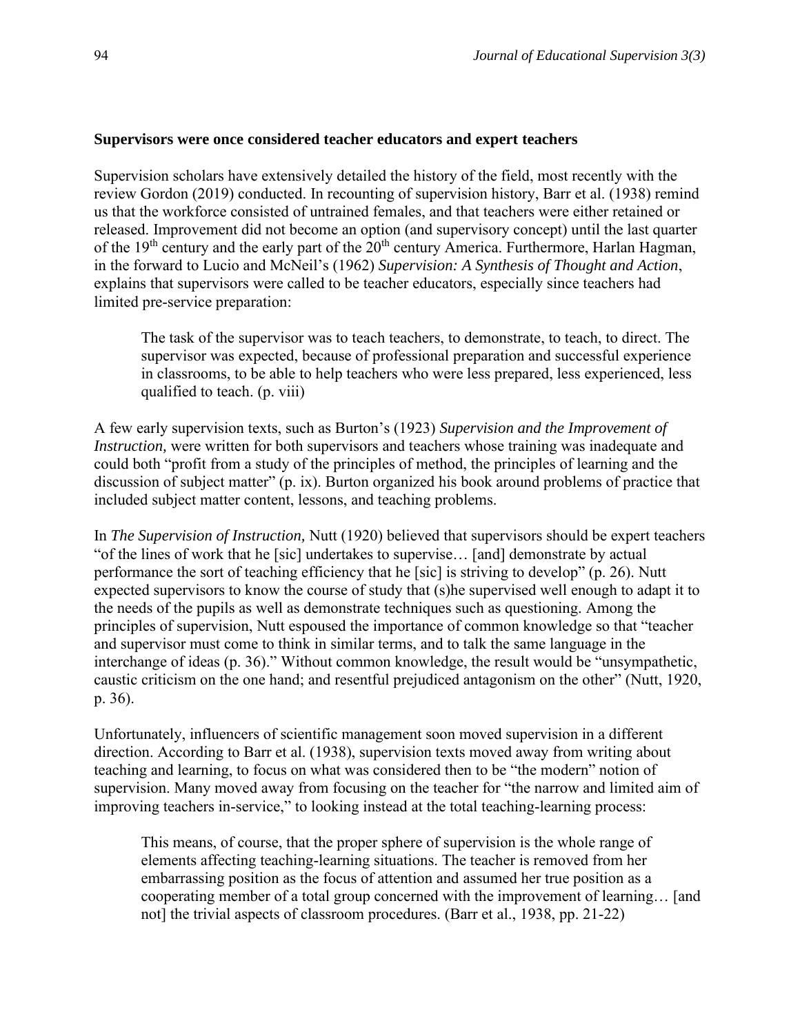#### **Supervisors were once considered teacher educators and expert teachers**

Supervision scholars have extensively detailed the history of the field, most recently with the review Gordon (2019) conducted. In recounting of supervision history, Barr et al. (1938) remind us that the workforce consisted of untrained females, and that teachers were either retained or released. Improvement did not become an option (and supervisory concept) until the last quarter of the 19<sup>th</sup> century and the early part of the 20<sup>th</sup> century America. Furthermore, Harlan Hagman, in the forward to Lucio and McNeil's (1962) *Supervision: A Synthesis of Thought and Action*, explains that supervisors were called to be teacher educators, especially since teachers had limited pre-service preparation:

The task of the supervisor was to teach teachers, to demonstrate, to teach, to direct. The supervisor was expected, because of professional preparation and successful experience in classrooms, to be able to help teachers who were less prepared, less experienced, less qualified to teach. (p. viii)

A few early supervision texts, such as Burton's (1923) *Supervision and the Improvement of Instruction,* were written for both supervisors and teachers whose training was inadequate and could both "profit from a study of the principles of method, the principles of learning and the discussion of subject matter" (p. ix). Burton organized his book around problems of practice that included subject matter content, lessons, and teaching problems.

In *The Supervision of Instruction,* Nutt (1920) believed that supervisors should be expert teachers "of the lines of work that he [sic] undertakes to supervise… [and] demonstrate by actual performance the sort of teaching efficiency that he [sic] is striving to develop" (p. 26). Nutt expected supervisors to know the course of study that (s)he supervised well enough to adapt it to the needs of the pupils as well as demonstrate techniques such as questioning. Among the principles of supervision, Nutt espoused the importance of common knowledge so that "teacher and supervisor must come to think in similar terms, and to talk the same language in the interchange of ideas (p. 36)." Without common knowledge, the result would be "unsympathetic, caustic criticism on the one hand; and resentful prejudiced antagonism on the other" (Nutt, 1920, p. 36).

Unfortunately, influencers of scientific management soon moved supervision in a different direction. According to Barr et al. (1938), supervision texts moved away from writing about teaching and learning, to focus on what was considered then to be "the modern" notion of supervision. Many moved away from focusing on the teacher for "the narrow and limited aim of improving teachers in-service," to looking instead at the total teaching-learning process:

This means, of course, that the proper sphere of supervision is the whole range of elements affecting teaching-learning situations. The teacher is removed from her embarrassing position as the focus of attention and assumed her true position as a cooperating member of a total group concerned with the improvement of learning… [and not] the trivial aspects of classroom procedures. (Barr et al., 1938, pp. 21-22)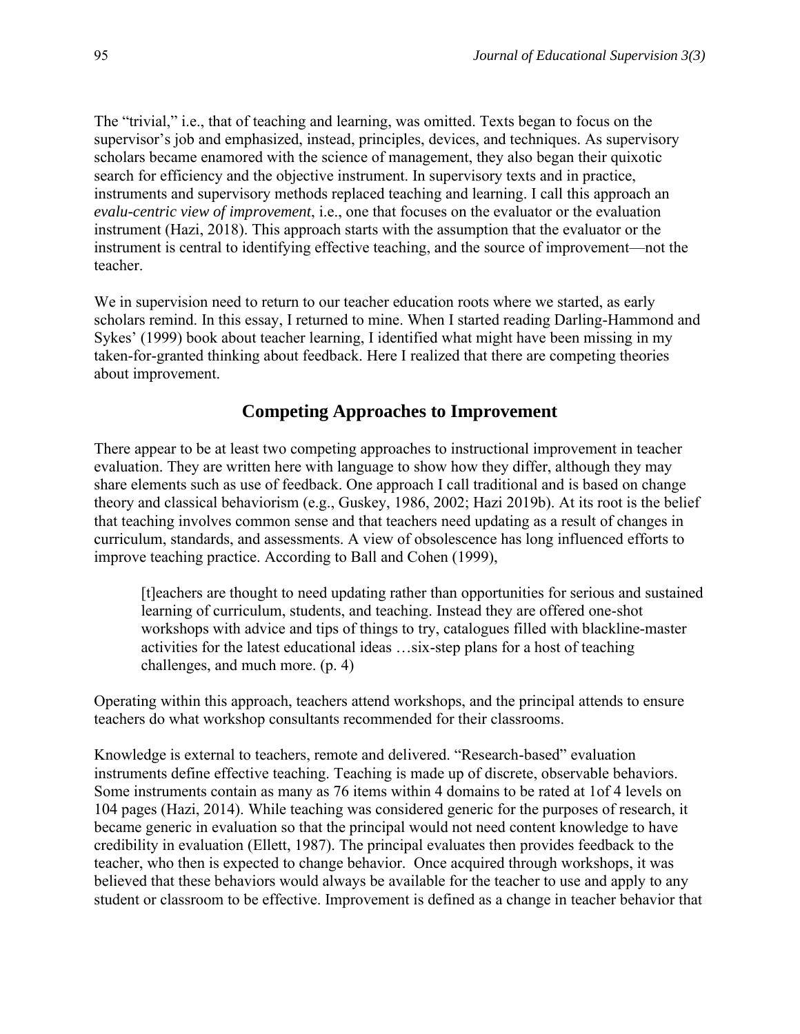The "trivial," i.e., that of teaching and learning, was omitted. Texts began to focus on the supervisor's job and emphasized, instead, principles, devices, and techniques. As supervisory scholars became enamored with the science of management, they also began their quixotic search for efficiency and the objective instrument. In supervisory texts and in practice, instruments and supervisory methods replaced teaching and learning. I call this approach an *evalu-centric view of improvement*, i.e., one that focuses on the evaluator or the evaluation instrument (Hazi, 2018). This approach starts with the assumption that the evaluator or the instrument is central to identifying effective teaching, and the source of improvement—not the teacher.

We in supervision need to return to our teacher education roots where we started, as early scholars remind. In this essay, I returned to mine. When I started reading Darling-Hammond and Sykes' (1999) book about teacher learning, I identified what might have been missing in my taken-for-granted thinking about feedback. Here I realized that there are competing theories about improvement.

## **Competing Approaches to Improvement**

There appear to be at least two competing approaches to instructional improvement in teacher evaluation. They are written here with language to show how they differ, although they may share elements such as use of feedback. One approach I call traditional and is based on change theory and classical behaviorism (e.g., Guskey, 1986, 2002; Hazi 2019b). At its root is the belief that teaching involves common sense and that teachers need updating as a result of changes in curriculum, standards, and assessments. A view of obsolescence has long influenced efforts to improve teaching practice. According to Ball and Cohen (1999),

[t]eachers are thought to need updating rather than opportunities for serious and sustained learning of curriculum, students, and teaching. Instead they are offered one-shot workshops with advice and tips of things to try, catalogues filled with blackline-master activities for the latest educational ideas …six-step plans for a host of teaching challenges, and much more. (p. 4)

Operating within this approach, teachers attend workshops, and the principal attends to ensure teachers do what workshop consultants recommended for their classrooms.

Knowledge is external to teachers, remote and delivered. "Research-based" evaluation instruments define effective teaching. Teaching is made up of discrete, observable behaviors. Some instruments contain as many as 76 items within 4 domains to be rated at 1of 4 levels on 104 pages (Hazi, 2014). While teaching was considered generic for the purposes of research, it became generic in evaluation so that the principal would not need content knowledge to have credibility in evaluation (Ellett, 1987). The principal evaluates then provides feedback to the teacher, who then is expected to change behavior. Once acquired through workshops, it was believed that these behaviors would always be available for the teacher to use and apply to any student or classroom to be effective. Improvement is defined as a change in teacher behavior that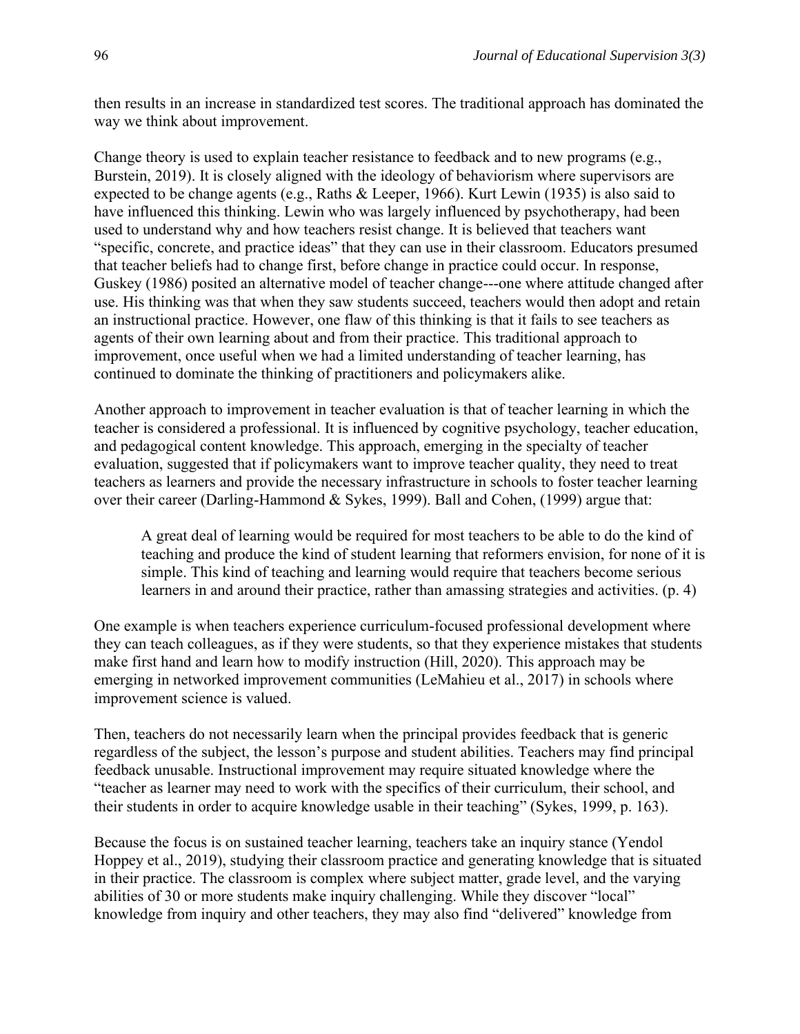then results in an increase in standardized test scores. The traditional approach has dominated the way we think about improvement.

Change theory is used to explain teacher resistance to feedback and to new programs (e.g., Burstein, 2019). It is closely aligned with the ideology of behaviorism where supervisors are expected to be change agents (e.g., Raths & Leeper, 1966). Kurt Lewin (1935) is also said to have influenced this thinking. Lewin who was largely influenced by psychotherapy, had been used to understand why and how teachers resist change. It is believed that teachers want "specific, concrete, and practice ideas" that they can use in their classroom. Educators presumed that teacher beliefs had to change first, before change in practice could occur. In response, Guskey (1986) posited an alternative model of teacher change---one where attitude changed after use. His thinking was that when they saw students succeed, teachers would then adopt and retain an instructional practice. However, one flaw of this thinking is that it fails to see teachers as agents of their own learning about and from their practice. This traditional approach to improvement, once useful when we had a limited understanding of teacher learning, has continued to dominate the thinking of practitioners and policymakers alike.

Another approach to improvement in teacher evaluation is that of teacher learning in which the teacher is considered a professional. It is influenced by cognitive psychology, teacher education, and pedagogical content knowledge. This approach, emerging in the specialty of teacher evaluation, suggested that if policymakers want to improve teacher quality, they need to treat teachers as learners and provide the necessary infrastructure in schools to foster teacher learning over their career (Darling-Hammond & Sykes, 1999). Ball and Cohen, (1999) argue that:

A great deal of learning would be required for most teachers to be able to do the kind of teaching and produce the kind of student learning that reformers envision, for none of it is simple. This kind of teaching and learning would require that teachers become serious learners in and around their practice, rather than amassing strategies and activities. (p. 4)

One example is when teachers experience curriculum-focused professional development where they can teach colleagues, as if they were students, so that they experience mistakes that students make first hand and learn how to modify instruction (Hill, 2020). This approach may be emerging in networked improvement communities (LeMahieu et al., 2017) in schools where improvement science is valued.

Then, teachers do not necessarily learn when the principal provides feedback that is generic regardless of the subject, the lesson's purpose and student abilities. Teachers may find principal feedback unusable. Instructional improvement may require situated knowledge where the "teacher as learner may need to work with the specifics of their curriculum, their school, and their students in order to acquire knowledge usable in their teaching" (Sykes, 1999, p. 163).

Because the focus is on sustained teacher learning, teachers take an inquiry stance (Yendol Hoppey et al., 2019), studying their classroom practice and generating knowledge that is situated in their practice. The classroom is complex where subject matter, grade level, and the varying abilities of 30 or more students make inquiry challenging. While they discover "local" knowledge from inquiry and other teachers, they may also find "delivered" knowledge from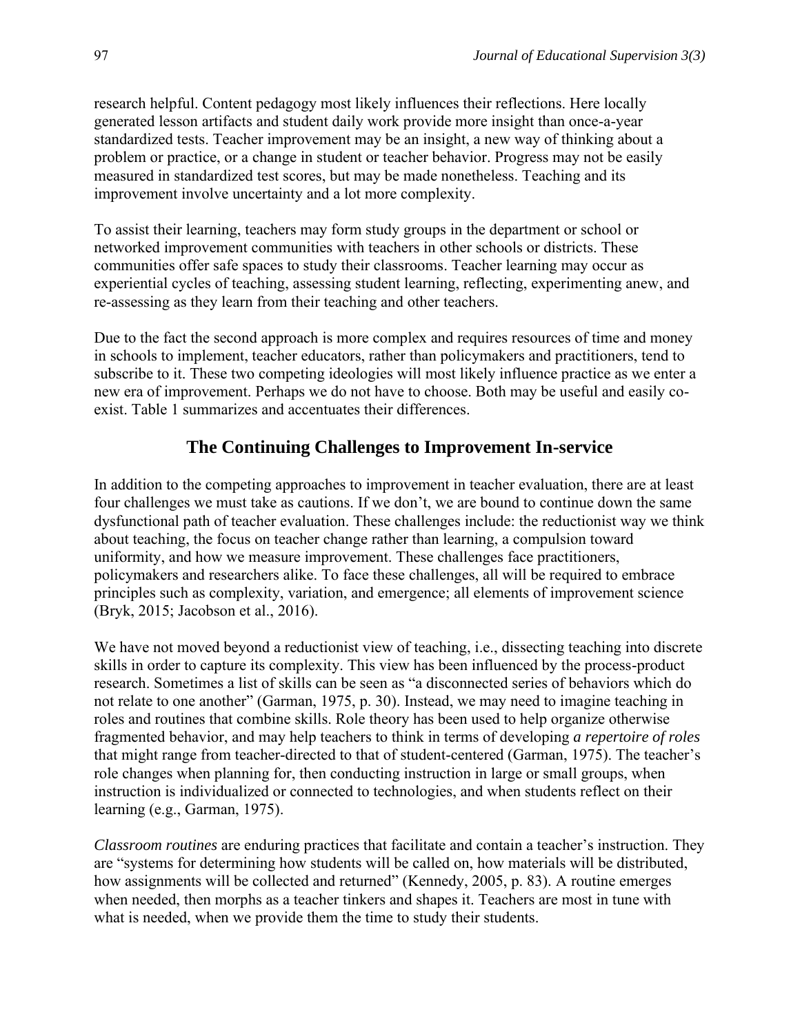research helpful. Content pedagogy most likely influences their reflections. Here locally generated lesson artifacts and student daily work provide more insight than once-a-year standardized tests. Teacher improvement may be an insight, a new way of thinking about a problem or practice, or a change in student or teacher behavior. Progress may not be easily measured in standardized test scores, but may be made nonetheless. Teaching and its improvement involve uncertainty and a lot more complexity.

To assist their learning, teachers may form study groups in the department or school or networked improvement communities with teachers in other schools or districts. These communities offer safe spaces to study their classrooms. Teacher learning may occur as experiential cycles of teaching, assessing student learning, reflecting, experimenting anew, and re-assessing as they learn from their teaching and other teachers.

Due to the fact the second approach is more complex and requires resources of time and money in schools to implement, teacher educators, rather than policymakers and practitioners, tend to subscribe to it. These two competing ideologies will most likely influence practice as we enter a new era of improvement. Perhaps we do not have to choose. Both may be useful and easily coexist. Table 1 summarizes and accentuates their differences.

# **The Continuing Challenges to Improvement In-service**

In addition to the competing approaches to improvement in teacher evaluation, there are at least four challenges we must take as cautions. If we don't, we are bound to continue down the same dysfunctional path of teacher evaluation. These challenges include: the reductionist way we think about teaching, the focus on teacher change rather than learning, a compulsion toward uniformity, and how we measure improvement. These challenges face practitioners, policymakers and researchers alike. To face these challenges, all will be required to embrace principles such as complexity, variation, and emergence; all elements of improvement science (Bryk, 2015; Jacobson et al., 2016).

We have not moved beyond a reductionist view of teaching, *i.e.*, dissecting teaching into discrete skills in order to capture its complexity. This view has been influenced by the process-product research. Sometimes a list of skills can be seen as "a disconnected series of behaviors which do not relate to one another" (Garman, 1975, p. 30). Instead, we may need to imagine teaching in roles and routines that combine skills. Role theory has been used to help organize otherwise fragmented behavior, and may help teachers to think in terms of developing *a repertoire of roles*  that might range from teacher-directed to that of student-centered (Garman, 1975). The teacher's role changes when planning for, then conducting instruction in large or small groups, when instruction is individualized or connected to technologies, and when students reflect on their learning (e.g., Garman, 1975).

*Classroom routines* are enduring practices that facilitate and contain a teacher's instruction. They are "systems for determining how students will be called on, how materials will be distributed, how assignments will be collected and returned" (Kennedy, 2005, p. 83). A routine emerges when needed, then morphs as a teacher tinkers and shapes it. Teachers are most in tune with what is needed, when we provide them the time to study their students.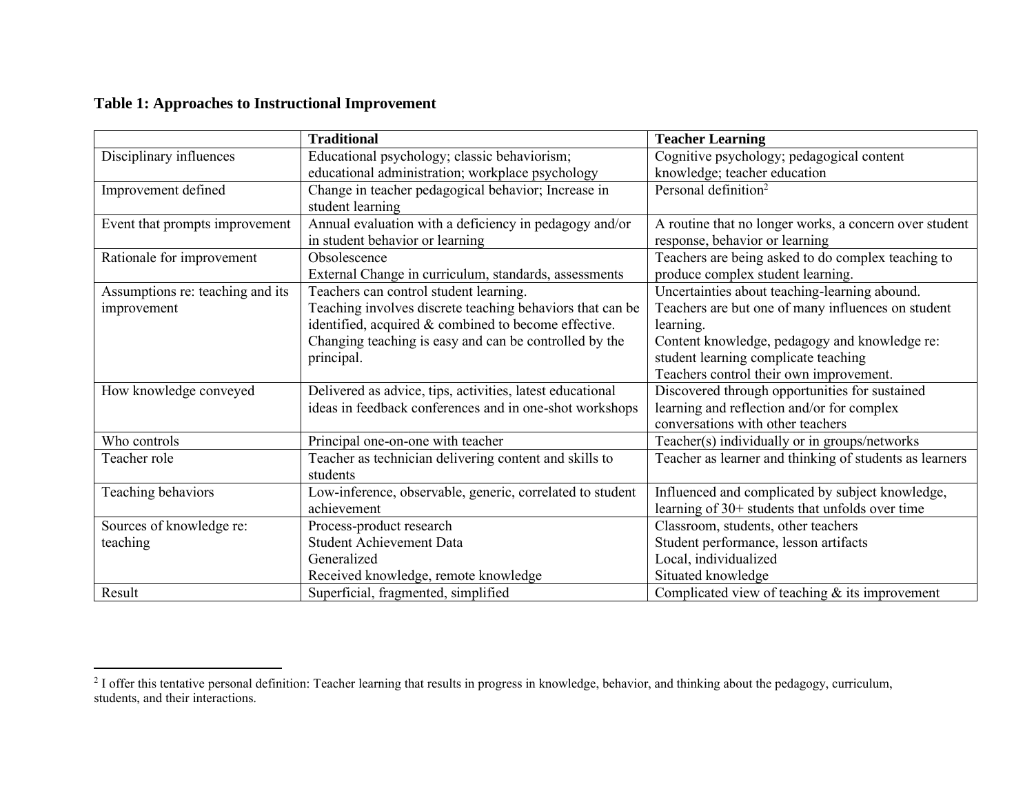#### **Table 1: Approaches to Instructional Improvement**

|                                  | <b>Traditional</b>                                        | <b>Teacher Learning</b>                                 |
|----------------------------------|-----------------------------------------------------------|---------------------------------------------------------|
| Disciplinary influences          | Educational psychology; classic behaviorism;              | Cognitive psychology; pedagogical content               |
|                                  | educational administration; workplace psychology          | knowledge; teacher education                            |
| Improvement defined              | Change in teacher pedagogical behavior; Increase in       | Personal definition <sup>2</sup>                        |
|                                  | student learning                                          |                                                         |
| Event that prompts improvement   | Annual evaluation with a deficiency in pedagogy and/or    | A routine that no longer works, a concern over student  |
|                                  | in student behavior or learning                           | response, behavior or learning                          |
| Rationale for improvement        | Obsolescence                                              | Teachers are being asked to do complex teaching to      |
|                                  | External Change in curriculum, standards, assessments     | produce complex student learning.                       |
| Assumptions re: teaching and its | Teachers can control student learning.                    | Uncertainties about teaching-learning abound.           |
| improvement                      | Teaching involves discrete teaching behaviors that can be | Teachers are but one of many influences on student      |
|                                  | identified, acquired & combined to become effective.      | learning.                                               |
|                                  | Changing teaching is easy and can be controlled by the    | Content knowledge, pedagogy and knowledge re:           |
|                                  | principal.                                                | student learning complicate teaching                    |
|                                  |                                                           | Teachers control their own improvement.                 |
| How knowledge conveyed           | Delivered as advice, tips, activities, latest educational | Discovered through opportunities for sustained          |
|                                  | ideas in feedback conferences and in one-shot workshops   | learning and reflection and/or for complex              |
|                                  |                                                           | conversations with other teachers                       |
| Who controls                     | Principal one-on-one with teacher                         | Teacher(s) individually or in groups/networks           |
| Teacher role                     | Teacher as technician delivering content and skills to    | Teacher as learner and thinking of students as learners |
|                                  | students                                                  |                                                         |
| Teaching behaviors               | Low-inference, observable, generic, correlated to student | Influenced and complicated by subject knowledge,        |
|                                  | achievement                                               | learning of 30+ students that unfolds over time         |
| Sources of knowledge re:         | Process-product research                                  | Classroom, students, other teachers                     |
| teaching                         | <b>Student Achievement Data</b>                           | Student performance, lesson artifacts                   |
|                                  | Generalized                                               | Local, individualized                                   |
|                                  | Received knowledge, remote knowledge                      | Situated knowledge                                      |
| Result                           | Superficial, fragmented, simplified                       | Complicated view of teaching $\&$ its improvement       |

 $<sup>2</sup>$  I offer this tentative personal definition: Teacher learning that results in progress in knowledge, behavior, and thinking about the pedagogy, curriculum,</sup> students, and their interactions.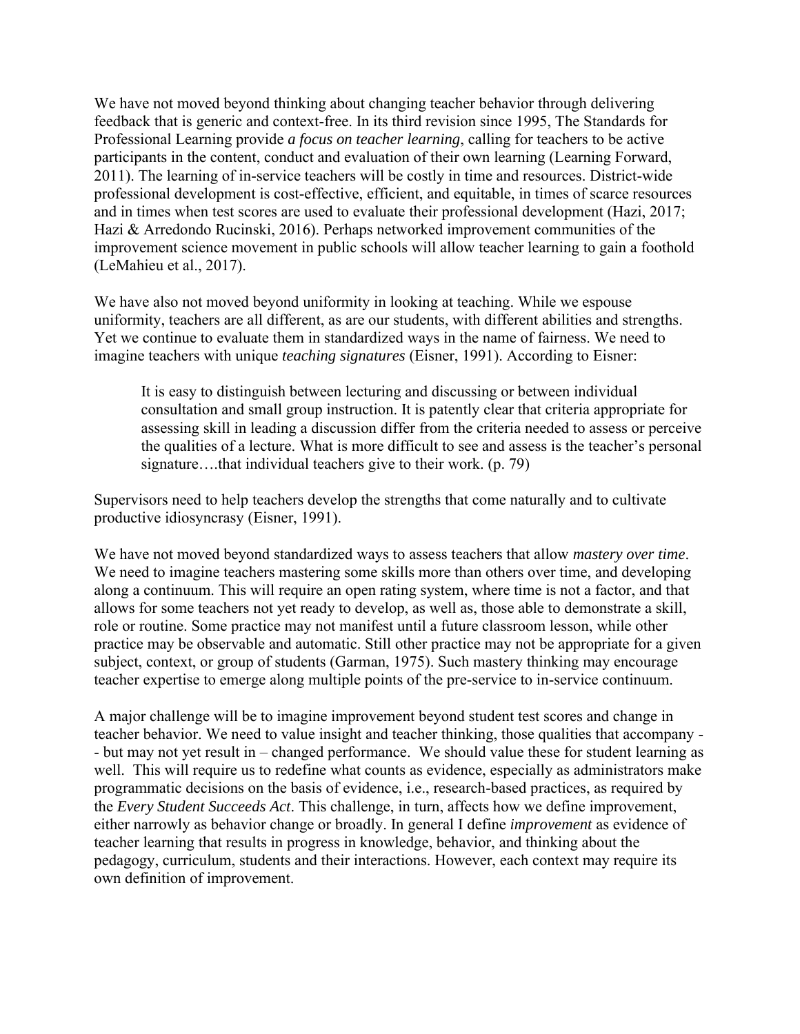We have not moved beyond thinking about changing teacher behavior through delivering feedback that is generic and context-free. In its third revision since 1995, The Standards for Professional Learning provide *a focus on teacher learning*, calling for teachers to be active participants in the content, conduct and evaluation of their own learning (Learning Forward, 2011). The learning of in-service teachers will be costly in time and resources. District-wide professional development is cost-effective, efficient, and equitable, in times of scarce resources and in times when test scores are used to evaluate their professional development (Hazi, 2017; Hazi & Arredondo Rucinski, 2016). Perhaps networked improvement communities of the improvement science movement in public schools will allow teacher learning to gain a foothold (LeMahieu et al., 2017).

We have also not moved beyond uniformity in looking at teaching. While we espouse uniformity, teachers are all different, as are our students, with different abilities and strengths. Yet we continue to evaluate them in standardized ways in the name of fairness. We need to imagine teachers with unique *teaching signatures* (Eisner, 1991). According to Eisner:

It is easy to distinguish between lecturing and discussing or between individual consultation and small group instruction. It is patently clear that criteria appropriate for assessing skill in leading a discussion differ from the criteria needed to assess or perceive the qualities of a lecture. What is more difficult to see and assess is the teacher's personal signature….that individual teachers give to their work. (p. 79)

Supervisors need to help teachers develop the strengths that come naturally and to cultivate productive idiosyncrasy (Eisner, 1991).

We have not moved beyond standardized ways to assess teachers that allow *mastery over time*. We need to imagine teachers mastering some skills more than others over time, and developing along a continuum. This will require an open rating system, where time is not a factor, and that allows for some teachers not yet ready to develop, as well as, those able to demonstrate a skill, role or routine. Some practice may not manifest until a future classroom lesson, while other practice may be observable and automatic. Still other practice may not be appropriate for a given subject, context, or group of students (Garman, 1975). Such mastery thinking may encourage teacher expertise to emerge along multiple points of the pre-service to in-service continuum.

A major challenge will be to imagine improvement beyond student test scores and change in teacher behavior. We need to value insight and teacher thinking, those qualities that accompany - - but may not yet result in – changed performance. We should value these for student learning as well. This will require us to redefine what counts as evidence, especially as administrators make programmatic decisions on the basis of evidence, i.e., research-based practices, as required by the *Every Student Succeeds Act*. This challenge, in turn, affects how we define improvement, either narrowly as behavior change or broadly. In general I define *improvement* as evidence of teacher learning that results in progress in knowledge, behavior, and thinking about the pedagogy, curriculum, students and their interactions. However, each context may require its own definition of improvement.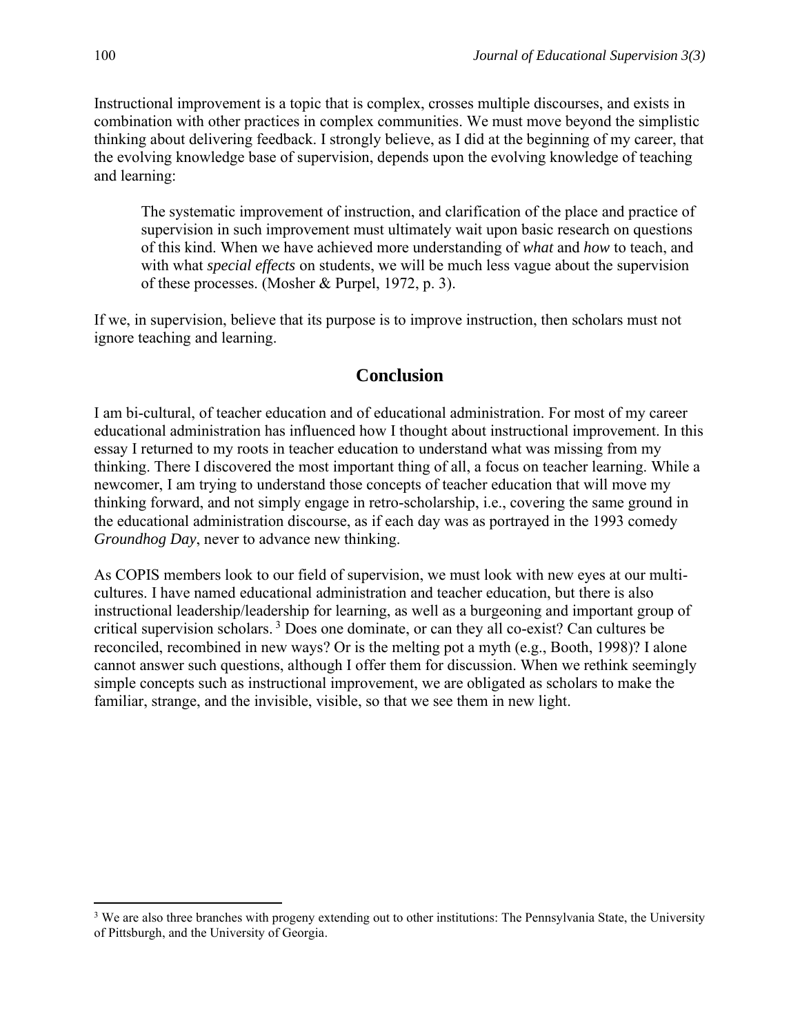Instructional improvement is a topic that is complex, crosses multiple discourses, and exists in combination with other practices in complex communities. We must move beyond the simplistic thinking about delivering feedback. I strongly believe, as I did at the beginning of my career, that the evolving knowledge base of supervision, depends upon the evolving knowledge of teaching and learning:

The systematic improvement of instruction, and clarification of the place and practice of supervision in such improvement must ultimately wait upon basic research on questions of this kind. When we have achieved more understanding of *what* and *how* to teach, and with what *special effects* on students, we will be much less vague about the supervision of these processes. (Mosher & Purpel, 1972, p. 3).

If we, in supervision, believe that its purpose is to improve instruction, then scholars must not ignore teaching and learning.

## **Conclusion**

I am bi-cultural, of teacher education and of educational administration. For most of my career educational administration has influenced how I thought about instructional improvement. In this essay I returned to my roots in teacher education to understand what was missing from my thinking. There I discovered the most important thing of all, a focus on teacher learning. While a newcomer, I am trying to understand those concepts of teacher education that will move my thinking forward, and not simply engage in retro-scholarship, i.e., covering the same ground in the educational administration discourse, as if each day was as portrayed in the 1993 comedy *Groundhog Day*, never to advance new thinking.

As COPIS members look to our field of supervision, we must look with new eyes at our multicultures. I have named educational administration and teacher education, but there is also instructional leadership/leadership for learning, as well as a burgeoning and important group of critical supervision scholars. <sup>3</sup> Does one dominate, or can they all co-exist? Can cultures be reconciled, recombined in new ways? Or is the melting pot a myth (e.g., Booth, 1998)? I alone cannot answer such questions, although I offer them for discussion. When we rethink seemingly simple concepts such as instructional improvement, we are obligated as scholars to make the familiar, strange, and the invisible, visible, so that we see them in new light.

<sup>&</sup>lt;sup>3</sup> We are also three branches with progeny extending out to other institutions: The Pennsylvania State, the University of Pittsburgh, and the University of Georgia.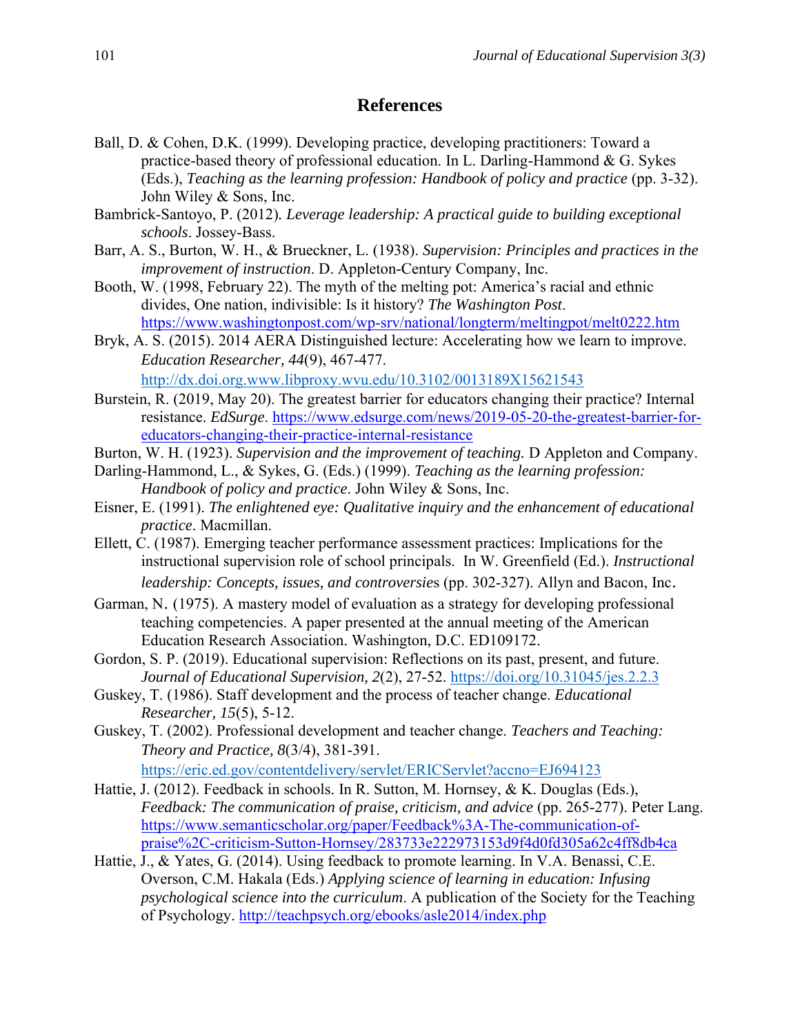#### **References**

- Ball, D. & Cohen, D.K. (1999). Developing practice, developing practitioners: Toward a practice-based theory of professional education. In L. Darling-Hammond  $& G.$  Sykes (Eds.), *Teaching as the learning profession: Handbook of policy and practice* (pp. 3-32). John Wiley & Sons, Inc.
- Bambrick-Santoyo, P. (2012)*. Leverage leadership: A practical guide to building exceptional schools*. Jossey-Bass.
- Barr, A. S., Burton, W. H., & Brueckner, L. (1938). *Supervision: Principles and practices in the improvement of instruction*. D. Appleton-Century Company, Inc.
- Booth, W. (1998, February 22). The myth of the melting pot: America's racial and ethnic divides, One nation, indivisible: Is it history? *The Washington Post*. <https://www.washingtonpost.com/wp-srv/national/longterm/meltingpot/melt0222.htm>
- Bryk, A. S. (2015). 2014 AERA Distinguished lecture: Accelerating how we learn to improve. *Education Researcher, 44*(9), 467-477. <http://dx.doi.org.www.libproxy.wvu.edu/10.3102/0013189X15621543>
- Burstein, R. (2019, May 20). The greatest barrier for educators changing their practice? Internal resistance. *EdSurge*. [https://www.edsurge.com/news/2019-05-20-the-greatest-barrier-for](https://www.edsurge.com/news/2019-05-20-the-greatest-barrier-for-educators-changing-their-practice-internal-resistance)[educators-changing-their-practice-internal-resistance](https://www.edsurge.com/news/2019-05-20-the-greatest-barrier-for-educators-changing-their-practice-internal-resistance)
- Burton, W. H. (1923). *Supervision and the improvement of teaching.* D Appleton and Company.
- Darling-Hammond, L., & Sykes, G. (Eds.) (1999). *Teaching as the learning profession: Handbook of policy and practice*. John Wiley & Sons, Inc.
- Eisner, E. (1991). *The enlightened eye: Qualitative inquiry and the enhancement of educational practice*. Macmillan.
- Ellett, C. (1987). Emerging teacher performance assessment practices: Implications for the instructional supervision role of school principals. In W. Greenfield (Ed.). *Instructional leadership: Concepts, issues, and controversie*s (pp. 302-327). Allyn and Bacon, Inc.
- Garman, N. (1975). A mastery model of evaluation as a strategy for developing professional teaching competencies. A paper presented at the annual meeting of the American Education Research Association. Washington, D.C. ED109172.
- Gordon, S. P. (2019). Educational supervision: Reflections on its past, present, and future. *Journal of Educational Supervision, 2*(2), 27-52.<https://doi.org/10.31045/jes.2.2.3>
- Guskey, T. (1986). Staff development and the process of teacher change. *Educational Researcher, 15*(5), 5-12.
- Guskey, T. (2002). Professional development and teacher change. *Teachers and Teaching: Theory and Practice, 8*(3/4), 381-391. <https://eric.ed.gov/contentdelivery/servlet/ERICServlet?accno=EJ694123>
- Hattie, J. (2012). Feedback in schools. In R. Sutton, M. Hornsey, & K. Douglas (Eds.), *Feedback: The communication of praise, criticism, and advice* (pp. 265-277). Peter Lang. [https://www.semanticscholar.org/paper/Feedback%3A-The-communication-of](https://www.semanticscholar.org/paper/Feedback%3A-The-communication-of-praise%2C-criticism-Sutton-Hornsey/283733e222973153d9f4d0fd305a62c4ff8db4ca)[praise%2C-criticism-Sutton-Hornsey/283733e222973153d9f4d0fd305a62c4ff8db4ca](https://www.semanticscholar.org/paper/Feedback%3A-The-communication-of-praise%2C-criticism-Sutton-Hornsey/283733e222973153d9f4d0fd305a62c4ff8db4ca)
- Hattie, J., & Yates, G. (2014). Using feedback to promote learning. In V.A. Benassi, C.E. Overson, C.M. Hakala (Eds.) *Applying science of learning in education: Infusing psychological science into the curriculum*. A publication of the Society for the Teaching of Psychology.<http://teachpsych.org/ebooks/asle2014/index.php>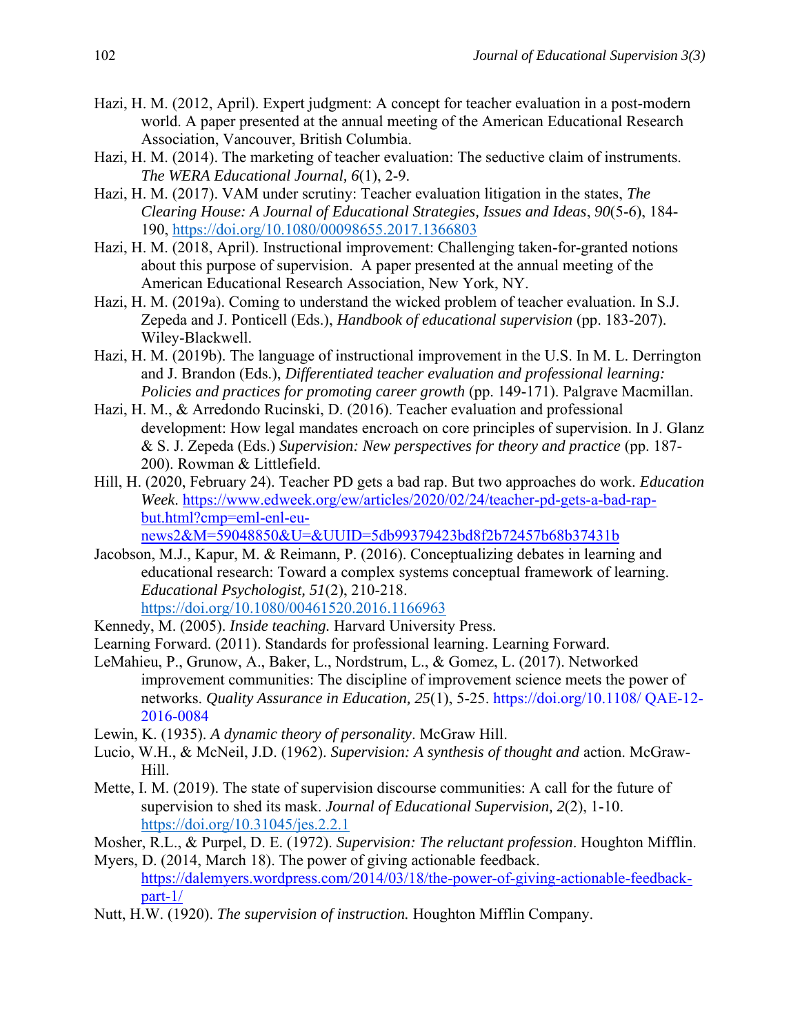- Hazi, H. M. (2012, April). Expert judgment: A concept for teacher evaluation in a post-modern world. A paper presented at the annual meeting of the American Educational Research Association, Vancouver, British Columbia.
- Hazi, H. M. (2014). The marketing of teacher evaluation: The seductive claim of instruments. *The WERA Educational Journal, 6*(1), 2-9.
- Hazi, H. M. (2017). VAM under scrutiny: Teacher evaluation litigation in the states, *The Clearing House: A Journal of Educational Strategies, Issues and Ideas*, *90*(5-6), 184- 190, <https://doi.org/10.1080/00098655.2017.1366803>
- Hazi, H. M. (2018, April). Instructional improvement: Challenging taken-for-granted notions about this purpose of supervision. A paper presented at the annual meeting of the American Educational Research Association, New York, NY.
- Hazi, H. M. (2019a). Coming to understand the wicked problem of teacher evaluation. In S.J. Zepeda and J. Ponticell (Eds.), *Handbook of educational supervision* (pp. 183-207). Wiley-Blackwell.
- Hazi, H. M. (2019b). The language of instructional improvement in the U.S. In M. L. Derrington and J. Brandon (Eds.), *Differentiated teacher evaluation and professional learning: Policies and practices for promoting career growth* (pp. 149-171). Palgrave Macmillan.
- Hazi, H. M., & Arredondo Rucinski, D. (2016). Teacher evaluation and professional development: How legal mandates encroach on core principles of supervision. In J. Glanz & S. J. Zepeda (Eds.) *Supervision: New perspectives for theory and practice* (pp. 187- 200). Rowman & Littlefield.
- Hill, H. (2020, February 24). Teacher PD gets a bad rap. But two approaches do work. *Education Week*. [https://www.edweek.org/ew/articles/2020/02/24/teacher-pd-gets-a-bad-rap](https://www.edweek.org/ew/articles/2020/02/24/teacher-pd-gets-a-bad-rap-but.html?cmp=eml-enl-eu-news2&M=59048850&U=&UUID=5db99379423bd8f2b72457b68b37431b)[but.html?cmp=eml-enl-eu-](https://www.edweek.org/ew/articles/2020/02/24/teacher-pd-gets-a-bad-rap-but.html?cmp=eml-enl-eu-news2&M=59048850&U=&UUID=5db99379423bd8f2b72457b68b37431b)

[news2&M=59048850&U=&UUID=5db99379423bd8f2b72457b68b37431b](https://www.edweek.org/ew/articles/2020/02/24/teacher-pd-gets-a-bad-rap-but.html?cmp=eml-enl-eu-news2&M=59048850&U=&UUID=5db99379423bd8f2b72457b68b37431b)

- Jacobson, M.J., Kapur, M. & Reimann, P. (2016). Conceptualizing debates in learning and educational research: Toward a complex systems conceptual framework of learning. *Educational Psychologist, 51*(2), 210-218. <https://doi.org/10.1080/00461520.2016.1166963>
- Kennedy, M. (2005). *Inside teaching.* Harvard University Press.
- Learning Forward. (2011). Standards for professional learning. Learning Forward.
- LeMahieu, P., Grunow, A., Baker, L., Nordstrum, L., & Gomez, L. (2017). Networked improvement communities: The discipline of improvement science meets the power of networks. *Quality Assurance in Education, 25*(1), 5-25. https://doi.org/10.1108/ QAE-12- 2016-0084
- Lewin, K. (1935). *A dynamic theory of personality*. McGraw Hill.
- Lucio, W.H., & McNeil, J.D. (1962). *Supervision: A synthesis of thought and* action. McGraw-Hill.
- Mette, I. M. (2019). The state of supervision discourse communities: A call for the future of supervision to shed its mask. *Journal of Educational Supervision, 2*(2), 1-10. <https://doi.org/10.31045/jes.2.2.1>
- Mosher, R.L., & Purpel, D. E. (1972). *Supervision: The reluctant profession*. Houghton Mifflin.
- Myers, D. (2014, March 18). The power of giving actionable feedback. [https://dalemyers.wordpress.com/2014/03/18/the-power-of-giving-actionable-feedback](https://dalemyers.wordpress.com/2014/03/18/the-power-of-giving-actionable-feedback-part-1/)[part-1/](https://dalemyers.wordpress.com/2014/03/18/the-power-of-giving-actionable-feedback-part-1/)
- Nutt, H.W. (1920). *The supervision of instruction.* Houghton Mifflin Company.